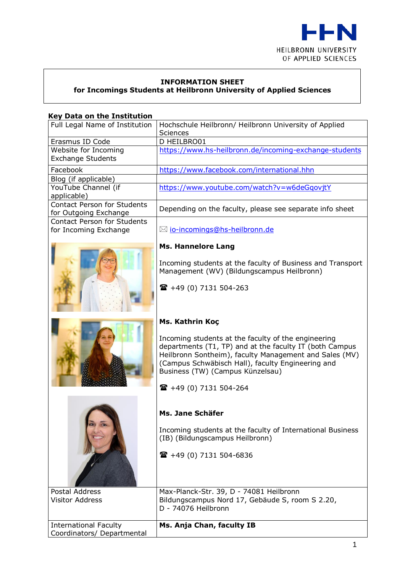

## **INFORMATION SHEET**

**for Incomings Students at Heilbronn University of Applied Sciences**

#### **Key Data on the Institution**

| Full Legal Name of Institution                              | Hochschule Heilbronn/ Heilbronn University of Applied<br>Sciences                                                                                                                                                                                                 |  |
|-------------------------------------------------------------|-------------------------------------------------------------------------------------------------------------------------------------------------------------------------------------------------------------------------------------------------------------------|--|
| Erasmus ID Code                                             | D HEILBRO01                                                                                                                                                                                                                                                       |  |
| Website for Incoming<br><b>Exchange Students</b>            | https://www.hs-heilbronn.de/incoming-exchange-students                                                                                                                                                                                                            |  |
| Facebook                                                    | https://www.facebook.com/international.hhn                                                                                                                                                                                                                        |  |
| Blog (if applicable)                                        |                                                                                                                                                                                                                                                                   |  |
| YouTube Channel (if                                         | https://www.youtube.com/watch?v=w6deGqovjtY                                                                                                                                                                                                                       |  |
| applicable)                                                 |                                                                                                                                                                                                                                                                   |  |
| Contact Person for Students                                 | Depending on the faculty, please see separate info sheet                                                                                                                                                                                                          |  |
| for Outgoing Exchange<br><b>Contact Person for Students</b> |                                                                                                                                                                                                                                                                   |  |
| for Incoming Exchange                                       | ⊠ <u>io-incomings@hs-heilbronn.de</u>                                                                                                                                                                                                                             |  |
|                                                             | <b>Ms. Hannelore Lang</b>                                                                                                                                                                                                                                         |  |
|                                                             | Incoming students at the faculty of Business and Transport<br>Management (WV) (Bildungscampus Heilbronn)                                                                                                                                                          |  |
|                                                             | $\mathbf{R}$ +49 (0) 7131 504-263                                                                                                                                                                                                                                 |  |
|                                                             | Ms. Kathrin Koç                                                                                                                                                                                                                                                   |  |
|                                                             | Incoming students at the faculty of the engineering<br>departments (T1, TP) and at the faculty IT (both Campus<br>Heilbronn Sontheim), faculty Management and Sales (MV)<br>(Campus Schwäbisch Hall), faculty Engineering and<br>Business (TW) (Campus Künzelsau) |  |
|                                                             | $\mathbf{R}$ +49 (0) 7131 504-264                                                                                                                                                                                                                                 |  |
|                                                             | Ms. Jane Schäfer                                                                                                                                                                                                                                                  |  |
|                                                             | Incoming students at the faculty of International Business<br>(IB) (Bildungscampus Heilbronn)                                                                                                                                                                     |  |
|                                                             | $\mathbf{R}$ +49 (0) 7131 504-6836                                                                                                                                                                                                                                |  |
| Postal Address                                              | Max-Planck-Str. 39, D - 74081 Heilbronn                                                                                                                                                                                                                           |  |
| <b>Visitor Address</b>                                      | Bildungscampus Nord 17, Gebäude S, room S 2.20,<br>D - 74076 Heilbronn                                                                                                                                                                                            |  |
| <b>International Faculty</b>                                | Ms. Anja Chan, faculty IB                                                                                                                                                                                                                                         |  |
| Coordinators/ Departmental                                  |                                                                                                                                                                                                                                                                   |  |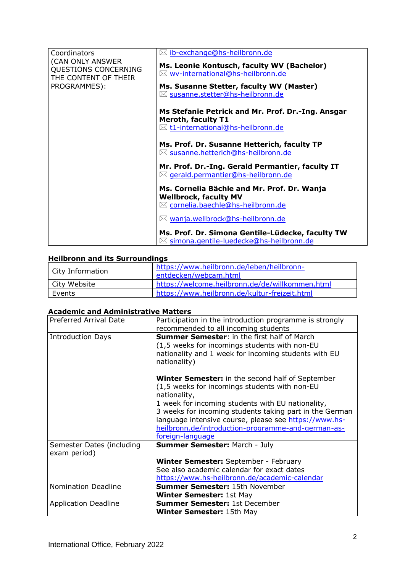| Coordinators                                                                     | ⊠ ib-exchange@hs-heilbronn.de                                                                     |
|----------------------------------------------------------------------------------|---------------------------------------------------------------------------------------------------|
| (CAN ONLY ANSWER<br>QUESTIONS CONCERNING<br>THE CONTENT OF THEIR<br>PROGRAMMES): | Ms. Leonie Kontusch, faculty WV (Bachelor)<br>$\boxtimes$ wv-international@hs-heilbronn.de        |
|                                                                                  | Ms. Susanne Stetter, faculty WV (Master)<br>⊠ susanne.stetter@hs-heilbronn.de                     |
|                                                                                  | Ms Stefanie Petrick and Mr. Prof. Dr.-Ing. Ansgar<br><b>Meroth, faculty T1</b>                    |
|                                                                                  | $\boxtimes$ t1-international@hs-heilbronn.de                                                      |
|                                                                                  | Ms. Prof. Dr. Susanne Hetterich, faculty TP<br>$\boxtimes$ susanne.hetterich@hs-heilbronn.de      |
|                                                                                  | Mr. Prof. Dr.-Ing. Gerald Permantier, faculty IT<br>$\boxtimes$ gerald.permantier@hs-heilbronn.de |
|                                                                                  | Ms. Cornelia Bächle and Mr. Prof. Dr. Wanja<br><b>Wellbrock, faculty MV</b>                       |
|                                                                                  | ⊠ cornelia.baechle@hs-heilbronn.de                                                                |
|                                                                                  | $\boxtimes$ wanja.wellbrock@hs-heilbronn.de                                                       |
|                                                                                  | Ms. Prof. Dr. Simona Gentile-Lüdecke, faculty TW<br>⊠ simona.gentile-luedecke@hs-heilbronn.de     |

## **Heilbronn and its Surroundings**

| City Information | https://www.heilbronn.de/leben/heilbronn-<br>entdecken/webcam.html |  |
|------------------|--------------------------------------------------------------------|--|
| City Website     | https://welcome.heilbronn.de/de/willkommen.html                    |  |
| Events           | https://www.heilbronn.de/kultur-freizeit.html                      |  |

# **Academic and Administrative Matters**

| Preferred Arrival Date                    | Participation in the introduction programme is strongly<br>recommended to all incoming students                                                                                                                                                                                                                                                                             |
|-------------------------------------------|-----------------------------------------------------------------------------------------------------------------------------------------------------------------------------------------------------------------------------------------------------------------------------------------------------------------------------------------------------------------------------|
| <b>Introduction Days</b>                  | <b>Summer Semester:</b> in the first half of March<br>(1,5 weeks for incomings students with non-EU<br>nationality and 1 week for incoming students with EU<br>nationality)                                                                                                                                                                                                 |
|                                           | <b>Winter Semester:</b> in the second half of September<br>(1,5 weeks for incomings students with non-EU<br>nationality,<br>1 week for incoming students with EU nationality,<br>3 weeks for incoming students taking part in the German<br>language intensive course, please see https://www.hs-<br>heilbronn.de/introduction-programme-and-german-as-<br>foreign-language |
| Semester Dates (including<br>exam period) | <b>Summer Semester: March - July</b>                                                                                                                                                                                                                                                                                                                                        |
|                                           | Winter Semester: September - February                                                                                                                                                                                                                                                                                                                                       |
|                                           | See also academic calendar for exact dates                                                                                                                                                                                                                                                                                                                                  |
|                                           | https://www.hs-heilbronn.de/academic-calendar                                                                                                                                                                                                                                                                                                                               |
| <b>Nomination Deadline</b>                | <b>Summer Semester: 15th November</b>                                                                                                                                                                                                                                                                                                                                       |
|                                           | <b>Winter Semester: 1st May</b>                                                                                                                                                                                                                                                                                                                                             |
| <b>Application Deadline</b>               | <b>Summer Semester: 1st December</b>                                                                                                                                                                                                                                                                                                                                        |
|                                           | Winter Semester: 15th May                                                                                                                                                                                                                                                                                                                                                   |